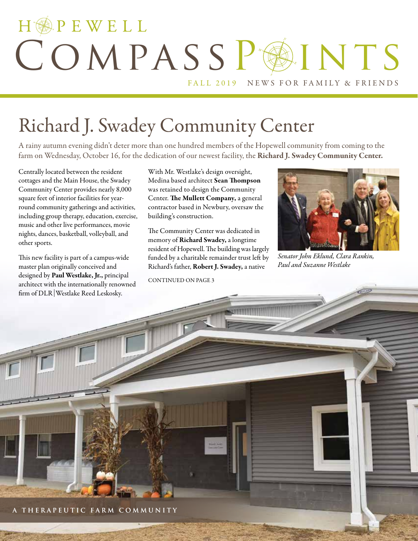# HOPEWELL COMPASSPOINTS FALL 2019 NEWS FOR FAMILY & FRIENDS

# Richard J. Swadey Community Center

A rainy autumn evening didn't deter more than one hundred members of the Hopewell community from coming to the farm on Wednesday, October 16, for the dedication of our newest facility, the Richard J. Swadey Community Center.

Centrally located between the resident cottages and the Main House, the Swadey Community Center provides nearly 8,000 square feet of interior facilities for yearround community gatherings and activities, including group therapy, education, exercise, music and other live performances, movie nights, dances, basketball, volleyball, and other sports.

This new facility is part of a campus-wide master plan originally conceived and designed by Paul Westlake, Jr., principal architect with the internationally renowned firm of DLR Westlake Reed Leskosky.

With Mr. Westlake's design oversight, Medina based architect Sean Thompson was retained to design the Community Center. The Mullett Company, a general contractor based in Newbury, oversaw the building's construction.

The Community Center was dedicated in memory of Richard Swadey, a longtime resident of Hopewell. The building was largely funded by a charitable remainder trust left by Richard's father, Robert J. Swadey, a native

CONTINUED ON PAGE 3



*Senator John Eklund, Clara Rankin, Paul and Suzanne Westlake*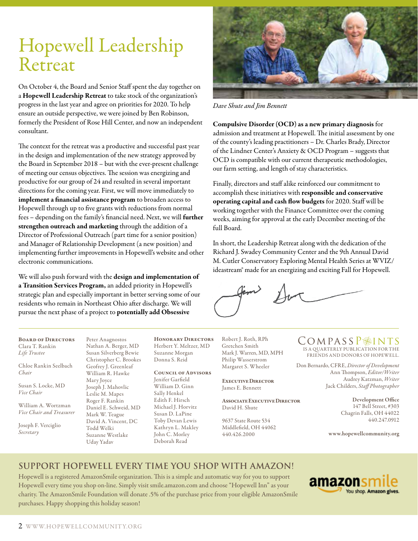# Hopewell Leadership Retreat

On October 4, the Board and Senior Staff spent the day together on a Hopewell Leadership Retreat to take stock of the organization's progress in the last year and agree on priorities for 2020. To help ensure an outside perspective, we were joined by Ben Robinson, formerly the President of Rose Hill Center, and now an independent consultant.

The context for the retreat was a productive and successful past year in the design and implementation of the new strategy approved by the Board in September 2018 – but with the ever-present challenge of meeting our census objectives. The session was energizing and productive for our group of 24 and resulted in several important directions for the coming year. First, we will move immediately to implement a financial assistance program to broaden access to Hopewell through up to five grants with reductions from normal fees – depending on the family's financial need. Next, we will further strengthen outreach and marketing through the addition of a Director of Professional Outreach (part time for a senior position) and Manager of Relationship Development (a new position) and implementing further improvements in Hopewell's website and other electronic communications.

We will also push forward with the design and implementation of a Transition Services Program, an added priority in Hopewell's strategic plan and especially important in better serving some of our residents who remain in Northeast Ohio after discharge. We will pursue the next phase of a project to potentially add Obsessive



*Dave Shute and Jim Bennett*

Compulsive Disorder (OCD) as a new primary diagnosis for admission and treatment at Hopewell. The initial assessment by one of the county's leading practitioners – Dr. Charles Brady, Director of the Lindner Center's Anxiety & OCD Program – suggests that OCD is compatible with our current therapeutic methodologies, our farm setting, and length of stay characteristics.

Finally, directors and staff alike reinforced our commitment to accomplish these initiatives with responsible and conservative operating capital and cash flow budgets for 2020. Staff will be working together with the Finance Committee over the coming weeks, aiming for approval at the early December meeting of the full Board.

In short, the Leadership Retreat along with the dedication of the Richard J. Swadey Community Center and the 9th Annual David M. Cutler Conservatory Exploring Mental Health Series at WVIZ/ ideastream® made for an energizing and exciting Fall for Hopewell.

Board of Directors Clara T. Rankin *Life Trustee*

Chloe Rankin Seelbach *Chair*

Susan S. Locke, MD *Vice Chair*

William A. Wortzman *Vice Chair and Treasurer*

Joseph F. Verciglio *Secretary*

Peter Anagnostos Nathan A. Berger, MD Susan Silverberg Bewie Christopher C. Brookes Geofrey J. Greenleaf William R. Hawke Mary Joyce Joseph J. Mahovlic Leslie M. Mapes Roger F. Rankin Daniel E. Schweid, MD Mark W. Teague David A. Vincent, DC Todd Welki Suzanne Westlake Uday Yadav

Honorary Directors Herbert Y. Meltzer, MD Suzanne Morgan Donna S. Reid

#### Council of Advisors

Jenifer Garfield William D. Ginn Sally Henkel Edith F. Hirsch Michael J. Horvitz Susan D. LaPine Toby Devan Lewis Kathryn L. Makley John C. Morley Deborah Read

Robert J. Roth, RPh Gretchen Smith Mark J. Warren, MD, MPH Philip Wasserstrom Margaret S. Wheeler

Executive Director James E. Bennett

Associate Executive Director David H. Shute

9637 State Route 534 Middlefield, OH 44062 440.426.2000

COMPASSP<sup>INTS</sup>

IS A QUARTERLY PUBLICATION FOR THE FRIENDS AND DONORS OF HOPEWELL.

Don Bernardo, CFRE, *Director of Development* Ann Thompson, *Editor/Writer* Audrey Katzman, *Writer*  Jack Childers, *Staff Photographer*

> Development Office 147 Bell Street, #303 Chagrin Falls, OH 44022 440.247.0912

www.hopewellcommunity.org

### **Support Hopewell every time you shop with Amazon!**

Hopewell is a registered AmazonSmile organization. This is a simple and automatic way for you to support Hopewell every time you shop on-line. Simply visit smile.amazon.com and choose "Hopewell Inn" as your charity. The AmazonSmile Foundation will donate .5% of the purchase price from your eligible AmazonSmile purchases. Happy shopping this holiday season!

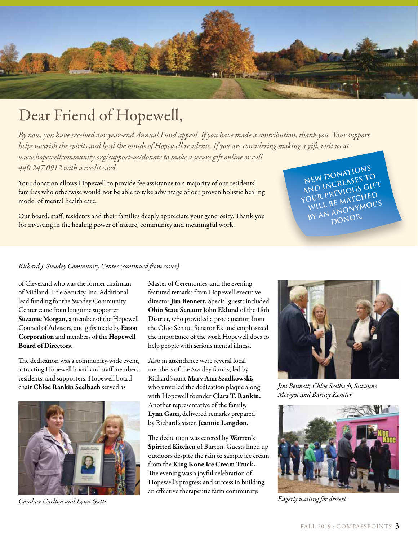

## Dear Friend of Hopewell,

*By now, you have received our year-end Annual Fund appeal. If you have made a contribution, thank you. Your support helps nourish the spirits and heal the minds of Hopewell residents. If you are considering making a gift, visit us at www.hopewellcommunity.org/support-us/donate to make a secure gift online or call 440.247.0912 with a credit card.*

Your donation allows Hopewell to provide fee assistance to a majority of our residents' families who otherwise would not be able to take advantage of our proven holistic healing model of mental health care.

Our board, staff, residents and their families deeply appreciate your generosity. Thank you for investing in the healing power of nature, community and meaningful work.

**New donations and increases to your previous gift**  WILL BE MATCHED **by an anonymous donor.** 

#### *Richard J. Swadey Community Center (continued from cover)*

of Cleveland who was the former chairman of Midland Title Security, Inc. Additional lead funding for the Swadey Community Center came from longtime supporter Suzanne Morgan, a member of the Hopewell Council of Advisors, and gifts made by Eaton Corporation and members of the Hopewell Board of Directors.

The dedication was a community-wide event, attracting Hopewell board and staff members, residents, and supporters. Hopewell board chair Chloe Rankin Seelbach served as



*Candace Carlton and Lynn Gatti*

Master of Ceremonies, and the evening featured remarks from Hopewell executive director Jim Bennett. Special guests included Ohio State Senator John Eklund of the 18th District, who provided a proclamation from the Ohio Senate. Senator Eklund emphasized the importance of the work Hopewell does to help people with serious mental illness.

Also in attendance were several local members of the Swadey family, led by Richard's aunt Mary Ann Szadkowski, who unveiled the dedication plaque along with Hopewell founder Clara T. Rankin. Another representative of the family, Lynn Gatti, delivered remarks prepared by Richard's sister, Jeannie Langdon.

The dedication was catered by Warren's Spirited Kitchen of Burton. Guests lined up outdoors despite the rain to sample ice cream from the King Kone Ice Cream Truck. The evening was a joyful celebration of Hopewell's progress and success in building an effective therapeutic farm community.



*Jim Bennett, Chloe Seelbach, Suzanne Morgan and Barney Kemter*



*Eagerly waiting for dessert*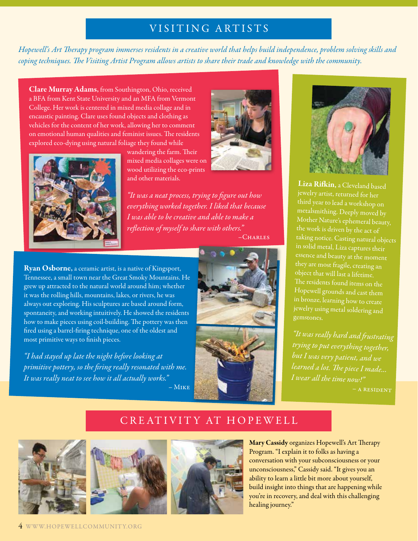### VISITING ARTISTS

*Hopewell's Art Therapy program immerses residents in a creative world that helps build independence, problem solving skills and coping techniques. The Visiting Artist Program allows artists to share their trade and knowledge with the community.* 

Clare Murray Adams, from Southington, Ohio, received a BFA from Kent State University and an MFA from Vermont College. Her work is centered in mixed media collage and in encaustic painting. Clare uses found objects and clothing as vehicles for the content of her work, allowing her to comment on emotional human qualities and feminist issues. The residents explored eco-dying using natural foliage they found while



wandering the farm. Their mixed media collages were on wood utilizing the eco-prints and other materials.

*"It was a neat process, trying to figure out how everything worked together. I liked that because I was able to be creative and able to make a reflection of myself to share with others."*

–Charles

Ryan Osborne, a ceramic artist, is a native of Kingsport, Tennessee, a small town near the Great Smoky Mountains. He grew up attracted to the natural world around him; whether it was the rolling hills, mountains, lakes, or rivers, he was always out exploring. His sculptures are based around form, spontaneity, and working intuitively. He showed the residents how to make pieces using coil-building. The pottery was then fired using a barrel-firing technique, one of the oldest and most primitive ways to finish pieces.

*"I had stayed up late the night before looking at primitive pottery, so the firing really resonated with me. It was really neat to see how it all actually works."*  – Mike







Liza Rifkin, a Cleveland based third year to lead a workshop on Mother Nature's ephemeral beauty, taking notice. Casting natural objects essence and beauty at the moment they are most fragile, creating an object that will last a lifetime. Hopewell grounds and cast them in bronze, learning how to create jewelry using metal soldering and

*"It was really hard and frustrating trying to put everything together, but I was very patient, and we learned a lot. The piece I made... I wear all the time now!"*  $-$  A RESIDENT

### CREATIVITY AT HOPEWELL







Mary Cassidy organizes Hopewell's Art Therapy Program. "I explain it to folks as having a conversation with your subconsciousness or your unconsciousness," Cassidy said. "It gives you an ability to learn a little bit more about yourself, build insight into things that are happening while you're in recovery, and deal with this challenging healing journey."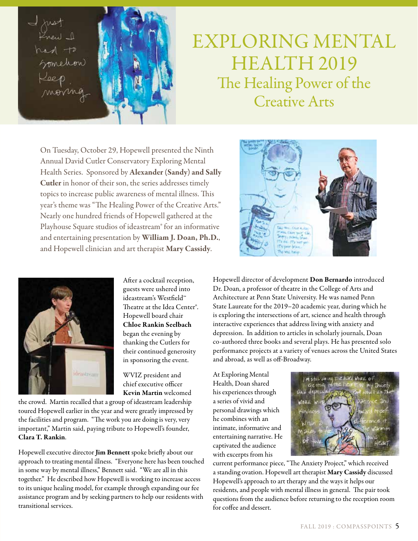I just<br>Frew I  $hat +$ Somehow monng



# EXPLORING MENTAL HEALTH 2019 The Healing Power of the Creative Arts

On Tuesday, October 29, Hopewell presented the Ninth Annual David Cutler Conservatory Exploring Mental Health Series. Sponsored by Alexander (Sandy) and Sally Cutler in honor of their son, the series addresses timely topics to increase public awareness of mental illness. This year's theme was "The Healing Power of the Creative Arts." Nearly one hundred friends of Hopewell gathered at the Playhouse Square studios of ideastream® for an informative and entertaining presentation by William J. Doan, Ph.D., and Hopewell clinician and art therapist Mary Cassidy.



After a cocktail reception, guests were ushered into ideastream's Westfield™ Theatre at the Idea Center®. Hopewell board chair Chloe Rankin Seelbach began the evening by thanking the Cutlers for their continued generosity in sponsoring the event.

WVIZ president and chief executive officer Kevin Martin welcomed

the crowd. Martin recalled that a group of ideastream leadership toured Hopewell earlier in the year and were greatly impressed by the facilities and program. "The work you are doing is very, very important," Martin said, paying tribute to Hopewell's founder, Clara T. Rankin.

Hopewell executive director Jim Bennett spoke briefly about our approach to treating mental illness. "Everyone here has been touched in some way by mental illness," Bennett said. "We are all in this together." He described how Hopewell is working to increase access to its unique healing model, for example through expanding our fee assistance program and by seeking partners to help our residents with transitional services.



Hopewell director of development Don Bernardo introduced Dr. Doan, a professor of theatre in the College of Arts and Architecture at Penn State University. He was named Penn State Laureate for the 2019–20 academic year, during which he is exploring the intersections of art, science and health through interactive experiences that address living with anxiety and depression. In addition to articles in scholarly journals, Doan co-authored three books and several plays. He has presented solo performance projects at a variety of venues across the United States and abroad, as well as off-Broadway.

At Exploring Mental Health, Doan shared his experiences through a series of vivid and personal drawings which he combines with an intimate, informative and entertaining narrative. He captivated the audience with excerpts from his



current performance piece, "The Anxiety Project," which received a standing ovation. Hopewell art therapist Mary Cassidy discussed Hopewell's approach to art therapy and the ways it helps our residents, and people with mental illness in general. The pair took questions from the audience before returning to the reception room for coffee and dessert.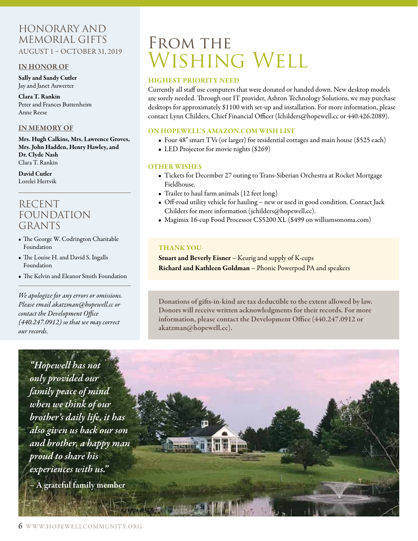### Honorary and Memorial Gifts AUGUST 1 – OCTOBER 31, 2019

#### IN HONOR OF

Sally and Sandy Cutler Jay and Janet Auwerter

Clara T. Rankin Peter and Frances Buttenheim Anne Reese

### IN MEMORY OF

Mrs. Hugh Calkins, Mrs. Lawrence Groves, Mrs. John Hadden, Henry Hawley, and Dr. Clyde Nash Clara T. Rankin

David Cutler Lorelei Hertvik

### RECENT FOUNDATION GRANTS

- The George W. Codrington Charitable Foundation
- The Louise H. and David S. Ingalls Foundation
- The Kelvin and Eleanor Smith Foundation

*We apologize for any errors or omissions. Please email akatzman@hopewell.cc or contact the Development Office (440.247.0912) so that we may correct our records.*



# FROM THE WISHING WELL

#### HIGHEST PRIORITY NEED

Currently all staff use computers that were donated or handed down. New desktop models are sorely needed. Through our IT provider, Ashton Technology Solutions, we may purchase desktops for approximately \$1100 with set-up and installation. For more information, please contact Lynn Childers, Chief Financial Officer (lchilders@hopewell.cc or 440.426.2089).

#### ON HOPEWELL'S AMAZON.COM WISH LIST

- Four 48" smart TVs (or larger) for residential cottages and main house (\$525 each)
- LED Projector for movie nights (\$269)

#### OTHER WISHES

- Tickets for December 27 outing to Trans-Siberian Orchestra at Rocket Mortgage Fieldhouse.
- Trailer to haul farm animals (12 feet long)
- Off-road utility vehicle for hauling new or used in good condition. Contact Jack Childers for more information (jchilders@hopewell.cc).
- Magimix 16-cup Food Processor CS5200 XL (\$499 on williamsonoma.com)

### THANK YOU

Stuart and Beverly Eisner – Keurig and supply of K-cups Richard and Kathleen Goldman – Phonic Powerpod PA and speakers

Donations of gifts-in-kind are tax deductible to the extent allowed by law. Donors will receive written acknowledgments for their records. For more information, please contact the Development Office (440.247.0912 or akatzman@hopewell.cc).

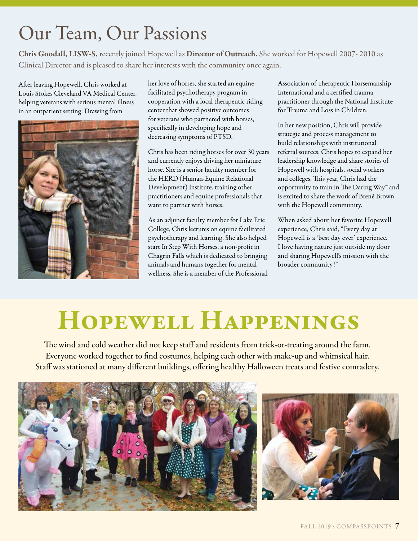# Our Team, Our Passions

Chris Goodall, LISW-S, recently joined Hopewell as Director of Outreach. She worked for Hopewell 2007- 2010 as Clinical Director and is pleased to share her interests with the community once again.

After leaving Hopewell, Chris worked at Louis Stokes Cleveland VA Medical Center, helping veterans with serious mental illness in an outpatient setting. Drawing from



her love of horses, she started an equinefacilitated psychotherapy program in cooperation with a local therapeutic riding center that showed positive outcomes for veterans who partnered with horses, specifically in developing hope and decreasing symptoms of PTSD.

Chris has been riding horses for over 30 years and currently enjoys driving her miniature horse. She is a senior faculty member for the HERD (Human-Equine Relational Development) Institute, training other practitioners and equine professionals that want to partner with horses.

As an adjunct faculty member for Lake Erie College, Chris lectures on equine facilitated psychotherapy and learning. She also helped start In Step With Horses, a non-profit in Chagrin Falls which is dedicated to bringing animals and humans together for mental wellness. She is a member of the Professional Association of Therapeutic Horsemanship International and a certified trauma practitioner through the National Institute for Trauma and Loss in Children.

In her new position, Chris will provide strategic and process management to build relationships with institutional referral sources. Chris hopes to expand her leadership knowledge and share stories of Hopewell with hospitals, social workers and colleges. This year, Chris had the opportunity to train in The Daring Way™ and is excited to share the work of Brené Brown with the Hopewell community.

When asked about her favorite Hopewell experience, Chris said, "Every day at Hopewell is a 'best day ever' experience. I love having nature just outside my door and sharing Hopewell's mission with the broader community!"

# Hopewell Happenings

The wind and cold weather did not keep staff and residents from trick-or-treating around the farm. Everyone worked together to find costumes, helping each other with make-up and whimsical hair. Staff was stationed at many different buildings, offering healthy Halloween treats and festive comradery.